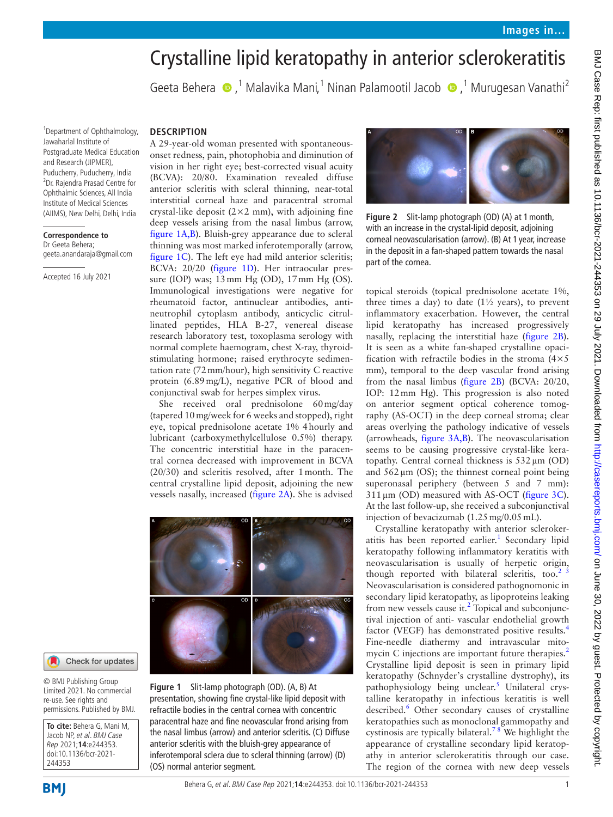# Crystalline lipid keratopathy in anterior sclerokeratitis

Geeta Behera (D,<sup>1</sup> Malavika Mani,<sup>1</sup> Ninan Palamootil Jacob (D,<sup>1</sup> Murugesan Vanathi<sup>2</sup>

1 Department of Ophthalmology, Jawaharlal Institute of Postgraduate Medical Education and Research (JIPMER), Puducherry, Puducherry, India 2 Dr. Rajendra Prasad Centre for Ophthalmic Sciences, All India Institute of Medical Sciences (AIIMS), New Delhi, Delhi, India

#### **Correspondence to** Dr Geeta Behera;

geeta.anandaraja@gmail.com

Accepted 16 July 2021

# **DESCRIPTION**

A 29-year-old woman presented with spontaneousonset redness, pain, photophobia and diminution of vision in her right eye; best-corrected visual acuity (BCVA): 20/80. Examination revealed diffuse anterior scleritis with scleral thinning, near-total interstitial corneal haze and paracentral stromal crystal-like deposit  $(2 \times 2 \text{ mm})$ , with adjoining fine deep vessels arising from the nasal limbus (arrow, [figure](#page-0-0) 1A,B). Bluish-grey appearance due to scleral thinning was most marked inferotemporally (arrow, [figure](#page-0-0) 1C). The left eye had mild anterior scleritis; BCVA: 20/20 [\(figure](#page-0-0) 1D). Her intraocular pressure (IOP) was; 13mm Hg (OD), 17mm Hg (OS). Immunological investigations were negative for rheumatoid factor, antinuclear antibodies, antineutrophil cytoplasm antibody, anticyclic citrullinated peptides, HLA B-27, venereal disease research laboratory test, toxoplasma serology with normal complete haemogram, chest X-ray, thyroidstimulating hormone; raised erythrocyte sedimentation rate (72mm/hour), high sensitivity C reactive protein (6.89mg/L), negative PCR of blood and conjunctival swab for herpes simplex virus.

She received oral prednisolone 60mg/day (tapered 10mg/week for 6 weeks and stopped), right eye, topical prednisolone acetate 1% 4hourly and lubricant (carboxymethylcellulose 0.5%) therapy. The concentric interstitial haze in the paracentral cornea decreased with improvement in BCVA (20/30) and scleritis resolved, after 1month. The central crystalline lipid deposit, adjoining the new vessels nasally, increased [\(figure](#page-0-1) 2A). She is advised



### Check for updates

© BMJ Publishing Group Limited 2021. No commercial re-use. See rights and permissions. Published by BMJ.

**To cite:** Behera G, Mani M, Jacob NP, et al. BMJ Case Rep 2021;**14**:e244353. doi:10.1136/bcr-2021- 244353

<span id="page-0-0"></span>**Figure 1** Slit-lamp photograph (OD). (A, B) At presentation, showing fine crystal-like lipid deposit with refractile bodies in the central cornea with concentric paracentral haze and fine neovascular frond arising from the nasal limbus (arrow) and anterior scleritis. (C) Diffuse anterior scleritis with the bluish-grey appearance of inferotemporal sclera due to scleral thinning (arrow) (D) (OS) normal anterior segment.

<span id="page-0-1"></span>

**Figure 2** Slit-lamp photograph (OD) (A) at 1month, with an increase in the crystal-lipid deposit, adjoining corneal neovascularisation (arrow). (B) At 1 year, increase in the deposit in a fan-shaped pattern towards the nasal part of the cornea.

topical steroids (topical prednisolone acetate 1%, three times a day) to date  $(1\frac{1}{2}$  years), to prevent inflammatory exacerbation. However, the central lipid keratopathy has increased progressively nasally, replacing the interstitial haze ([figure](#page-0-1) 2B). It is seen as a white fan-shaped crystalline opacification with refractile bodies in the stroma  $(4 \times 5)$ mm), temporal to the deep vascular frond arising from the nasal limbus ([figure](#page-0-1) 2B) (BCVA: 20/20, IOP: 12mm Hg). This progression is also noted on anterior segment optical coherence tomography (AS-OCT) in the deep corneal stroma; clear areas overlying the pathology indicative of vessels (arrowheads, [figure](#page-1-0) 3A,B). The neovascularisation seems to be causing progressive crystal-like keratopathy. Central corneal thickness is 532µm (OD) and  $562 \mu m$  (OS); the thinnest corneal point being superonasal periphery (between 5 and 7 mm):  $311 \,\mu m$  (OD) measured with AS-OCT ([figure](#page-1-0) 3C). At the last follow-up, she received a subconjunctival injection of bevacizumab (1.25 mg/0.05 mL).

Crystalline keratopathy with anterior scleroker-atitis has been reported earlier.<sup>[1](#page-1-1)</sup> Secondary lipid keratopathy following inflammatory keratitis with neovascularisation is usually of herpetic origin, though reported with bilateral scleritis, too. $2^{3}$ Neovascularisation is considered pathognomonic in secondary lipid keratopathy, as lipoproteins leaking from new vessels cause it.<sup>2</sup> Topical and subconjunctival injection of anti- vascular endothelial growth factor (VEGF) has demonstrated positive results.<sup>[4](#page-1-3)</sup> Fine-needle diathermy and intravascular mito-mycin C injections are important future therapies.<sup>[2](#page-1-2)</sup> Crystalline lipid deposit is seen in primary lipid keratopathy (Schnyder's crystalline dystrophy), its pathophysiology being unclear.<sup>5</sup> Unilateral crystalline keratopathy in infectious keratitis is well described.<sup>[6](#page-1-5)</sup> Other secondary causes of crystalline keratopathies such as monoclonal gammopathy and cystinosis are typically bilateral.<sup>78</sup> We highlight the appearance of crystalline secondary lipid keratopathy in anterior sclerokeratitis through our case. The region of the cornea with new deep vessels